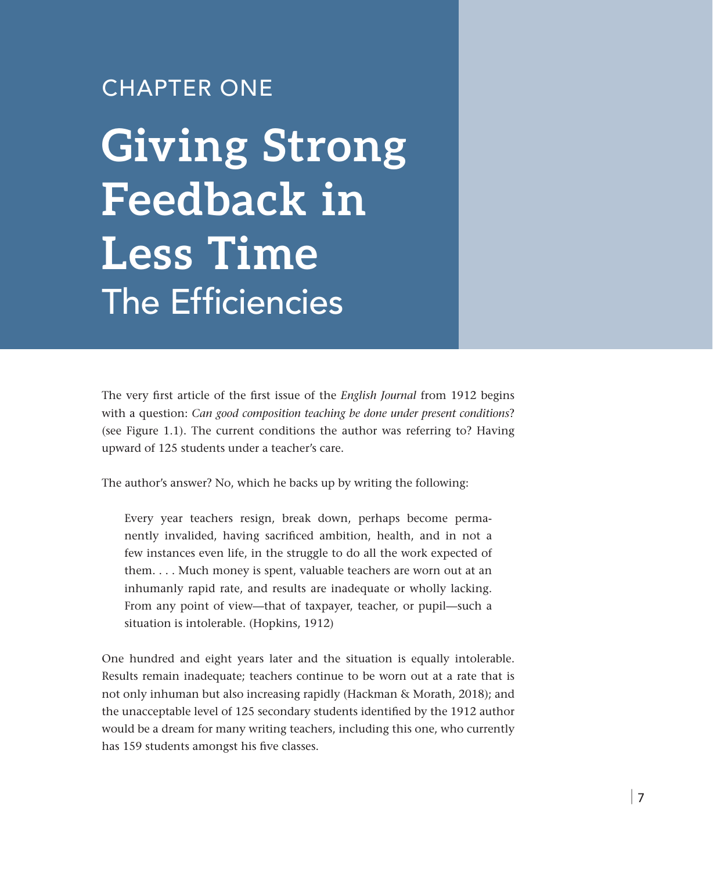# CHAPTER ONE

**Giving Strong Feedback in Less Time** The Efficiencies

The very first article of the first issue of the *English Journal* from 1912 begins with a question: *Can good composition teaching be done under present conditions*? (see Figure 1.1). The current conditions the author was referring to? Having upward of 125 students under a teacher's care.

The author's answer? No, which he backs up by writing the following:

Every year teachers resign, break down, perhaps become permanently invalided, having sacrificed ambition, health, and in not a few instances even life, in the struggle to do all the work expected of them. . . . Much money is spent, valuable teachers are worn out at an inhumanly rapid rate, and results are inadequate or wholly lacking. From any point of view—that of taxpayer, teacher, or pupil—such a situation is intolerable. (Hopkins, 1912)

One hundred and eight years later and the situation is equally intolerable. Results remain inadequate; teachers continue to be worn out at a rate that is not only inhuman but also increasing rapidly (Hackman & Morath, 2018); and the unacceptable level of 125 secondary students identified by the 1912 author would be a dream for many writing teachers, including this one, who currently has 159 students amongst his five classes.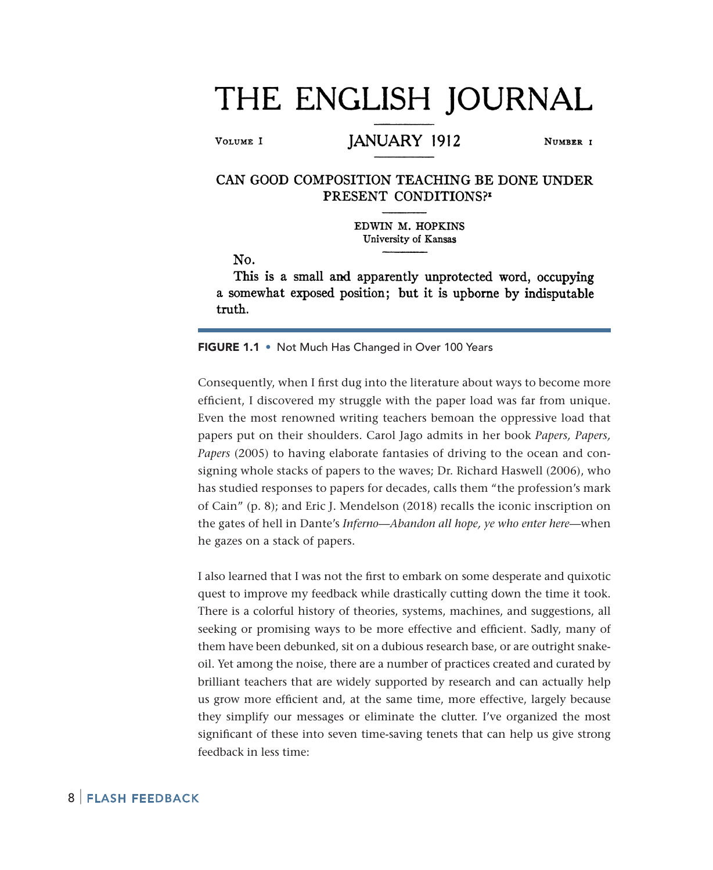# THE ENGLISH JOURNAL

VOLUME I

### JANUARY 1912

NUMBER 1

#### CAN GOOD COMPOSITION TEACHING BE DONE UNDER PRESENT CONDITIONS?

EDWIN M. HOPKINS University of Kansas

No.

This is a small and apparently unprotected word, occupying a somewhat exposed position; but it is upborne by indisputable truth.

FIGURE 1.1 • Not Much Has Changed in Over 100 Years

Consequently, when I first dug into the literature about ways to become more efficient, I discovered my struggle with the paper load was far from unique. Even the most renowned writing teachers bemoan the oppressive load that papers put on their shoulders. Carol Jago admits in her book *Papers, Papers, Papers* (2005) to having elaborate fantasies of driving to the ocean and consigning whole stacks of papers to the waves; Dr. Richard Haswell (2006), who has studied responses to papers for decades, calls them "the profession's mark of Cain" (p. 8); and Eric J. Mendelson (2018) recalls the iconic inscription on the gates of hell in Dante's *Inferno—Abandon all hope, ye who enter here*—when he gazes on a stack of papers.

I also learned that I was not the first to embark on some desperate and quixotic quest to improve my feedback while drastically cutting down the time it took. There is a colorful history of theories, systems, machines, and suggestions, all seeking or promising ways to be more effective and efficient. Sadly, many of them have been debunked, sit on a dubious research base, or are outright snakeoil. Yet among the noise, there are a number of practices created and curated by brilliant teachers that are widely supported by research and can actually help us grow more efficient and, at the same time, more effective, largely because they simplify our messages or eliminate the clutter. I've organized the most significant of these into seven time-saving tenets that can help us give strong feedback in less time:

#### 8 | Flash Feedback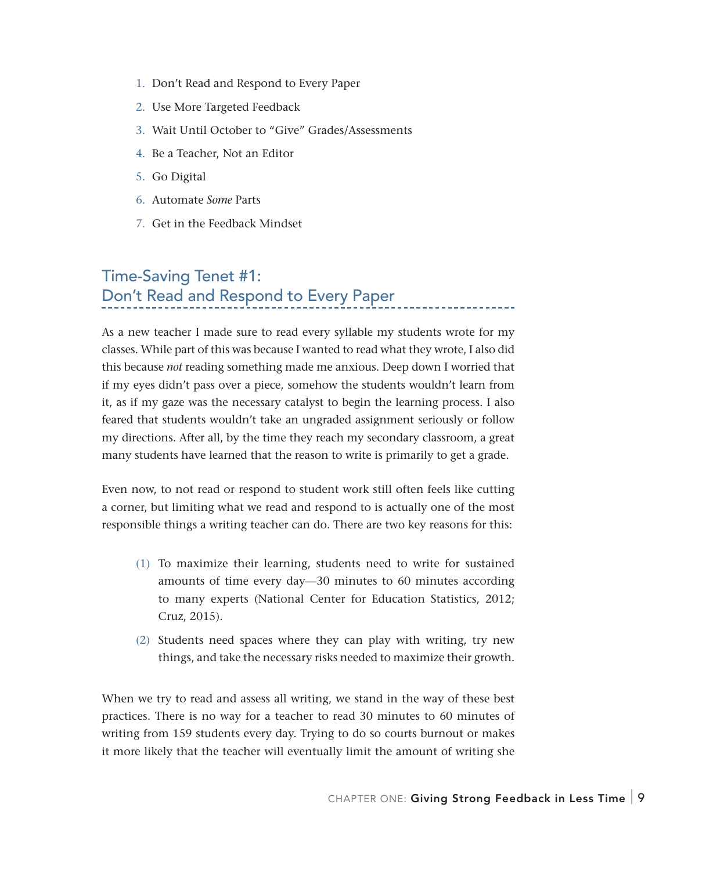- 1. Don't Read and Respond to Every Paper
- 2. Use More Targeted Feedback
- 3. Wait Until October to "Give" Grades/Assessments
- 4. Be a Teacher, Not an Editor
- 5. Go Digital
- 6. Automate *Some* Parts
- 7. Get in the Feedback Mindset

# Time-Saving Tenet #1: Don't Read and Respond to Every Paper

As a new teacher I made sure to read every syllable my students wrote for my classes. While part of this was because I wanted to read what they wrote, I also did this because *not* reading something made me anxious. Deep down I worried that if my eyes didn't pass over a piece, somehow the students wouldn't learn from it, as if my gaze was the necessary catalyst to begin the learning process. I also feared that students wouldn't take an ungraded assignment seriously or follow my directions. After all, by the time they reach my secondary classroom, a great many students have learned that the reason to write is primarily to get a grade.

Even now, to not read or respond to student work still often feels like cutting a corner, but limiting what we read and respond to is actually one of the most responsible things a writing teacher can do. There are two key reasons for this:

- (1) To maximize their learning, students need to write for sustained amounts of time every day—30 minutes to 60 minutes according to many experts (National Center for Education Statistics, 2012; Cruz, 2015).
- (2) Students need spaces where they can play with writing, try new things, and take the necessary risks needed to maximize their growth.

When we try to read and assess all writing, we stand in the way of these best practices. There is no way for a teacher to read 30 minutes to 60 minutes of writing from 159 students every day. Trying to do so courts burnout or makes it more likely that the teacher will eventually limit the amount of writing she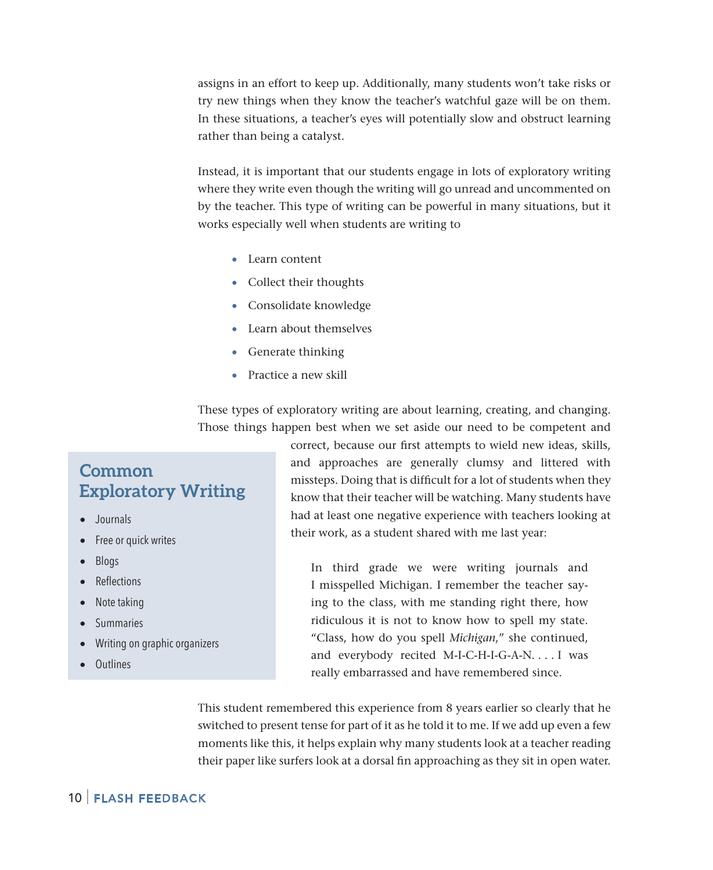assigns in an effort to keep up. Additionally, many students won't take risks or try new things when they know the teacher's watchful gaze will be on them. In these situations, a teacher's eyes will potentially slow and obstruct learning rather than being a catalyst.

Instead, it is important that our students engage in lots of exploratory writing where they write even though the writing will go unread and uncommented on by the teacher. This type of writing can be powerful in many situations, but it works especially well when students are writing to

- Learn content
- Collect their thoughts
- Consolidate knowledge
- Learn about themselves
- Generate thinking
- Practice a new skill

These types of exploratory writing are about learning, creating, and changing. Those things happen best when we set aside our need to be competent and

# **Common Exploratory Writing**

- Journals
- Free or quick writes
- Blogs
- **Reflections**
- Note taking
- **Summaries**
- Writing on graphic organizers
- Outlines

correct, because our first attempts to wield new ideas, skills, and approaches are generally clumsy and littered with missteps. Doing that is difficult for a lot of students when they know that their teacher will be watching. Many students have had at least one negative experience with teachers looking at their work, as a student shared with me last year:

In third grade we were writing journals and I misspelled Michigan. I remember the teacher saying to the class, with me standing right there, how ridiculous it is not to know how to spell my state. "Class, how do you spell *Michigan*," she continued, and everybody recited M-I-C-H-I-G-A-N. . . . I was really embarrassed and have remembered since.

This student remembered this experience from 8 years earlier so clearly that he switched to present tense for part of it as he told it to me. If we add up even a few moments like this, it helps explain why many students look at a teacher reading their paper like surfers look at a dorsal fin approaching as they sit in open water.

#### 10 | Flash Feedback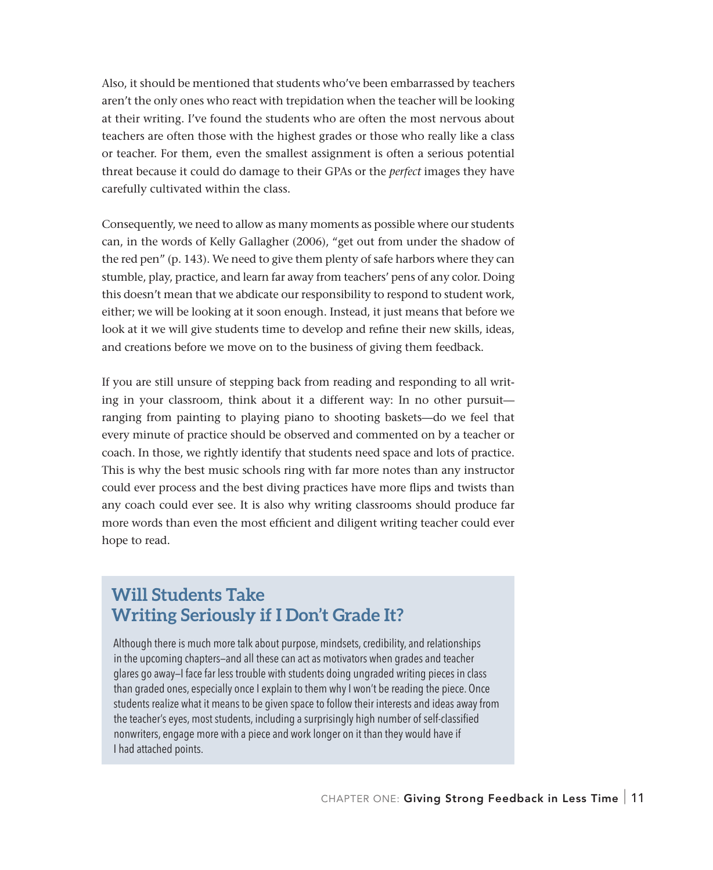Also, it should be mentioned that students who've been embarrassed by teachers aren't the only ones who react with trepidation when the teacher will be looking at their writing. I've found the students who are often the most nervous about teachers are often those with the highest grades or those who really like a class or teacher. For them, even the smallest assignment is often a serious potential threat because it could do damage to their GPAs or the *perfect* images they have carefully cultivated within the class.

Consequently, we need to allow as many moments as possible where our students can, in the words of Kelly Gallagher (2006), "get out from under the shadow of the red pen" (p. 143). We need to give them plenty of safe harbors where they can stumble, play, practice, and learn far away from teachers' pens of any color. Doing this doesn't mean that we abdicate our responsibility to respond to student work, either; we will be looking at it soon enough. Instead, it just means that before we look at it we will give students time to develop and refine their new skills, ideas, and creations before we move on to the business of giving them feedback.

If you are still unsure of stepping back from reading and responding to all writing in your classroom, think about it a different way: In no other pursuit ranging from painting to playing piano to shooting baskets—do we feel that every minute of practice should be observed and commented on by a teacher or coach. In those, we rightly identify that students need space and lots of practice. This is why the best music schools ring with far more notes than any instructor could ever process and the best diving practices have more flips and twists than any coach could ever see. It is also why writing classrooms should produce far more words than even the most efficient and diligent writing teacher could ever hope to read.

# **Will Students Take Writing Seriously if I Don't Grade It?**

Although there is much more talk about purpose, mindsets, credibility, and relationships in the upcoming chapters—and all these can act as motivators when grades and teacher glares go away—I face far less trouble with students doing ungraded writing pieces in class than graded ones, especially once I explain to them why I won't be reading the piece. Once students realize what it means to be given space to follow their interests and ideas away from the teacher's eyes, most students, including a surprisingly high number of self-classified nonwriters, engage more with a piece and work longer on it than they would have if I had attached points.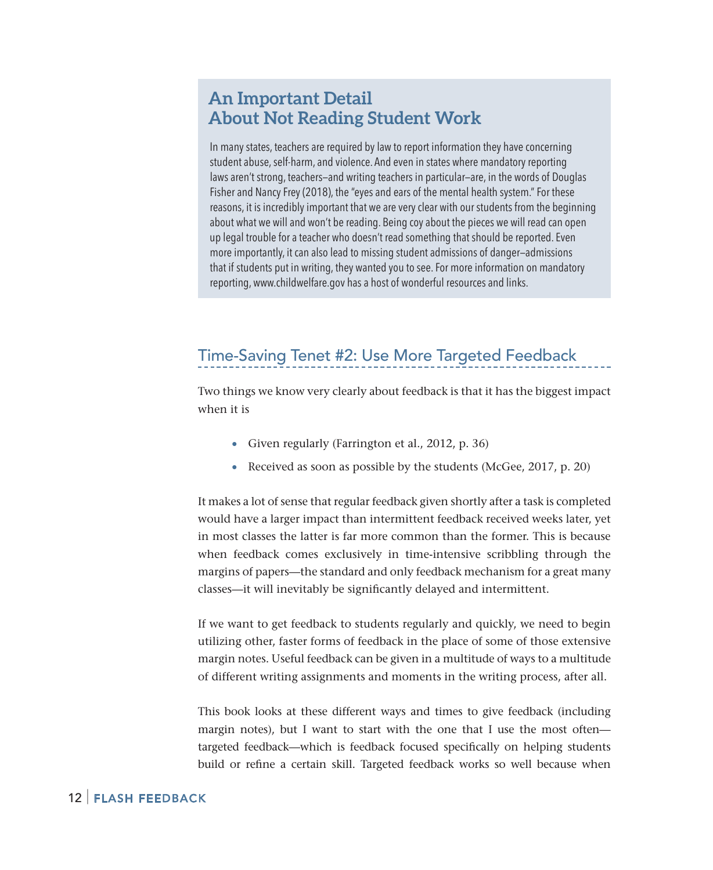## **An Important Detail About Not Reading Student Work**

In many states, teachers are required by law to report information they have concerning student abuse, self-harm, and violence. And even in states where mandatory reporting laws aren't strong, teachers—and writing teachers in particular—are, in the words of Douglas Fisher and Nancy Frey (2018), the "eyes and ears of the mental health system." For these reasons, it is incredibly important that we are very clear with our students from the beginning about what we will and won't be reading. Being coy about the pieces we will read can open up legal trouble for a teacher who doesn't read something that should be reported. Even more importantly, it can also lead to missing student admissions of danger—admissions that if students put in writing, they wanted you to see. For more information on mandatory reporting, www.childwelfare.gov has a host of wonderful resources and links.

# Time-Saving Tenet #2: Use More Targeted Feedback

Two things we know very clearly about feedback is that it has the biggest impact when it is

- Given regularly (Farrington et al., 2012, p. 36)
- Received as soon as possible by the students (McGee, 2017, p. 20)

It makes a lot of sense that regular feedback given shortly after a task is completed would have a larger impact than intermittent feedback received weeks later, yet in most classes the latter is far more common than the former. This is because when feedback comes exclusively in time-intensive scribbling through the margins of papers—the standard and only feedback mechanism for a great many classes—it will inevitably be significantly delayed and intermittent.

If we want to get feedback to students regularly and quickly, we need to begin utilizing other, faster forms of feedback in the place of some of those extensive margin notes. Useful feedback can be given in a multitude of ways to a multitude of different writing assignments and moments in the writing process, after all.

This book looks at these different ways and times to give feedback (including margin notes), but I want to start with the one that I use the most often targeted feedback—which is feedback focused specifically on helping students build or refine a certain skill. Targeted feedback works so well because when

#### 12 | Flash Feedback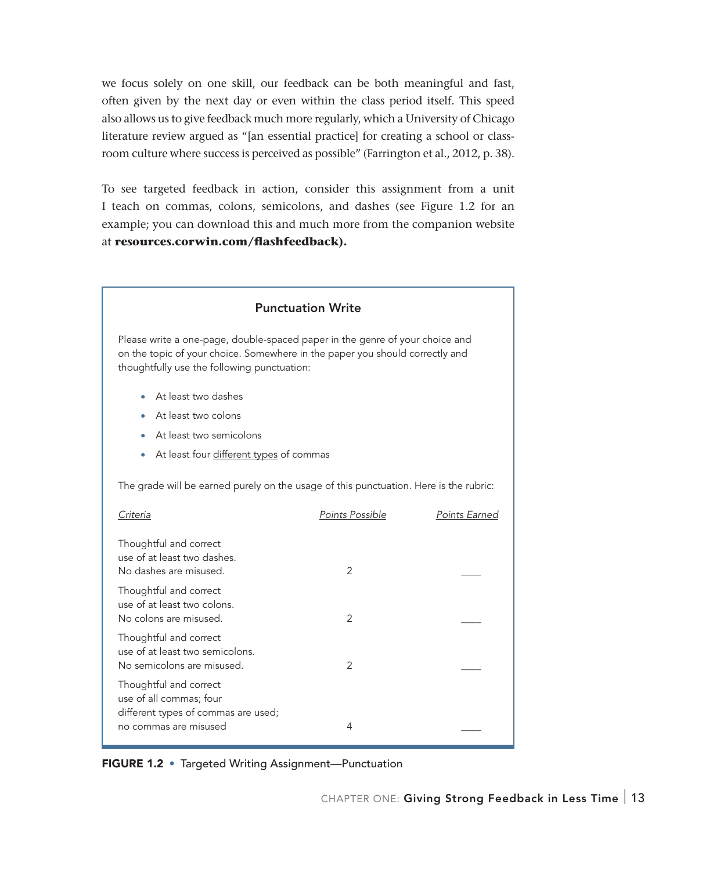we focus solely on one skill, our feedback can be both meaningful and fast, often given by the next day or even within the class period itself. This speed also allows us to give feedback much more regularly, which a University of Chicago literature review argued as "[an essential practice] for creating a school or classroom culture where success is perceived as possible" (Farrington et al., 2012, p. 38).

To see targeted feedback in action, consider this assignment from a unit I teach on commas, colons, semicolons, and dashes (see Figure 1.2 for an example; you can download this and much more from the companion website at **resources.corwin.com/flashfeedback).**

| <b>Punctuation Write</b>                                                                                                                                                                                    |                 |               |
|-------------------------------------------------------------------------------------------------------------------------------------------------------------------------------------------------------------|-----------------|---------------|
| Please write a one-page, double-spaced paper in the genre of your choice and<br>on the topic of your choice. Somewhere in the paper you should correctly and<br>thoughtfully use the following punctuation: |                 |               |
| At least two dashes<br>٠                                                                                                                                                                                    |                 |               |
| At least two colons                                                                                                                                                                                         |                 |               |
| At least two semicolons                                                                                                                                                                                     |                 |               |
| At least four different types of commas<br>۰                                                                                                                                                                |                 |               |
| The grade will be earned purely on the usage of this punctuation. Here is the rubric:                                                                                                                       |                 |               |
| Criteria                                                                                                                                                                                                    | Points Possible | Points Earned |
| Thoughtful and correct<br>use of at least two dashes.<br>No dashes are misused.                                                                                                                             | $\mathcal{P}$   |               |
| Thoughtful and correct<br>use of at least two colons.<br>No colons are misused.                                                                                                                             | 2               |               |
| Thoughtful and correct<br>use of at least two semicolons.<br>No semicolons are misused.                                                                                                                     | $\overline{2}$  |               |
| Thoughtful and correct<br>use of all commas; four<br>different types of commas are used;                                                                                                                    |                 |               |
| no commas are misused                                                                                                                                                                                       | 4               |               |

FIGURE 1.2 • Targeted Writing Assignment—Punctuation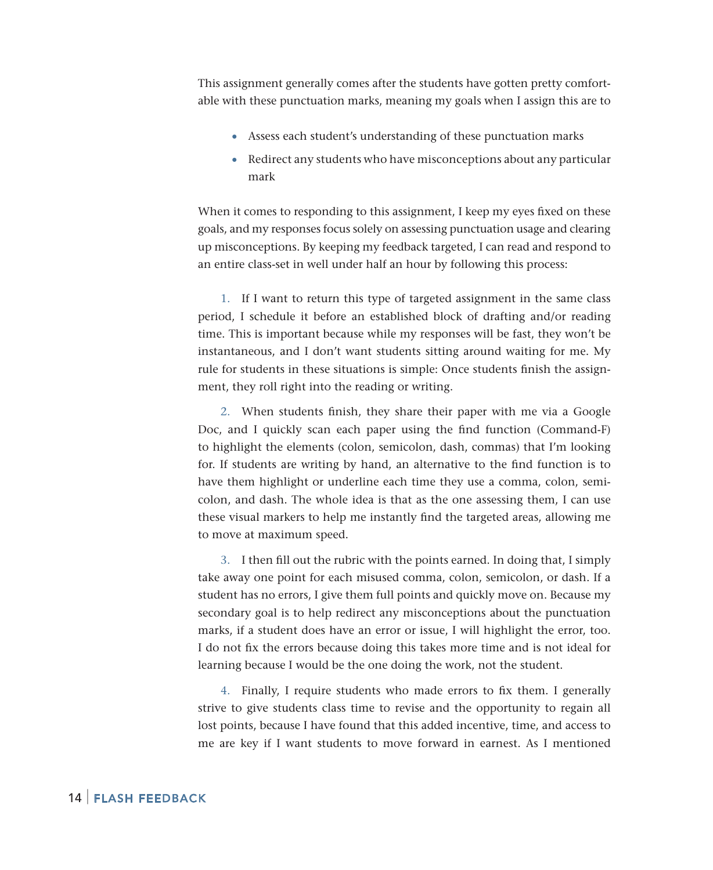This assignment generally comes after the students have gotten pretty comfortable with these punctuation marks, meaning my goals when I assign this are to

- Assess each student's understanding of these punctuation marks
- Redirect any students who have misconceptions about any particular mark

When it comes to responding to this assignment, I keep my eyes fixed on these goals, and my responses focus solely on assessing punctuation usage and clearing up misconceptions. By keeping my feedback targeted, I can read and respond to an entire class-set in well under half an hour by following this process:

1. If I want to return this type of targeted assignment in the same class period, I schedule it before an established block of drafting and/or reading time. This is important because while my responses will be fast, they won't be instantaneous, and I don't want students sitting around waiting for me. My rule for students in these situations is simple: Once students finish the assignment, they roll right into the reading or writing.

2. When students finish, they share their paper with me via a Google Doc, and I quickly scan each paper using the find function (Command-F) to highlight the elements (colon, semicolon, dash, commas) that I'm looking for. If students are writing by hand, an alternative to the find function is to have them highlight or underline each time they use a comma, colon, semicolon, and dash. The whole idea is that as the one assessing them, I can use these visual markers to help me instantly find the targeted areas, allowing me to move at maximum speed.

3. I then fill out the rubric with the points earned. In doing that, I simply take away one point for each misused comma, colon, semicolon, or dash. If a student has no errors, I give them full points and quickly move on. Because my secondary goal is to help redirect any misconceptions about the punctuation marks, if a student does have an error or issue, I will highlight the error, too. I do not fix the errors because doing this takes more time and is not ideal for learning because I would be the one doing the work, not the student.

4. Finally, I require students who made errors to fix them. I generally strive to give students class time to revise and the opportunity to regain all lost points, because I have found that this added incentive, time, and access to me are key if I want students to move forward in earnest. As I mentioned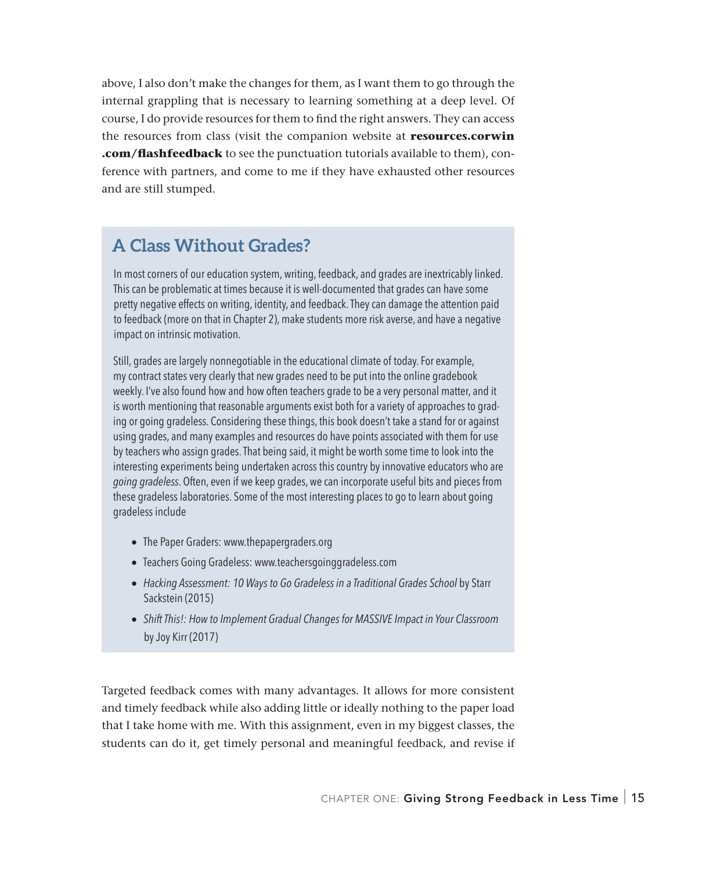above, I also don't make the changes for them, as I want them to go through the internal grappling that is necessary to learning something at a deep level. Of course, I do provide resources for them to find the right answers. They can access the resources from class (visit the companion website at **resources.corwin .com/flashfeedback** to see the punctuation tutorials available to them), conference with partners, and come to me if they have exhausted other resources and are still stumped.

# **A Class Without Grades?**

In most corners of our education system, writing, feedback, and grades are inextricably linked. This can be problematic at times because it is well-documented that grades can have some pretty negative effects on writing, identity, and feedback. They can damage the attention paid to feedback (more on that in Chapter 2), make students more risk averse, and have a negative impact on intrinsic motivation.

Still, grades are largely nonnegotiable in the educational climate of today. For example, my contract states very clearly that new grades need to be put into the online gradebook weekly. I've also found how and how often teachers grade to be a very personal matter, and it is worth mentioning that reasonable arguments exist both for a variety of approaches to grading or going gradeless. Considering these things, this book doesn't take a stand for or against using grades, and many examples and resources do have points associated with them for use by teachers who assign grades. That being said, it might be worth some time to look into the interesting experiments being undertaken across this country by innovative educators who are *going gradeless*. Often, even if we keep grades, we can incorporate useful bits and pieces from these gradeless laboratories. Some of the most interesting places to go to learn about going gradeless include

- The Paper Graders: www.thepapergraders.org
- Teachers Going Gradeless: www.teachersgoinggradeless.com
- *Hacking Assessment: 10 Ways to Go Gradeless in a Traditional Grades School* by Starr Sackstein (2015)
- *Shift This!: How to Implement Gradual Changes for MASSIVE Impact in Your Classroom*  by Joy Kirr (2017)

Targeted feedback comes with many advantages. It allows for more consistent and timely feedback while also adding little or ideally nothing to the paper load that I take home with me. With this assignment, even in my biggest classes, the students can do it, get timely personal and meaningful feedback, and revise if